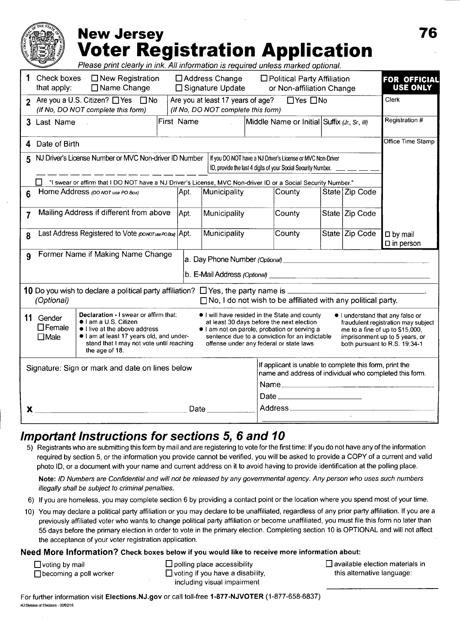### **New Jersey Voter Registration Application** Please print clearly in ink. All information is required unless marked optional. Theck boxes □ New Registration □ Address Change □ Political Party Affiliation **FOR OFFICIA**<br>
that apply: □ Name Change □ Signature Update or Non-affiliation Change USE ONLY or Non-affiliation Change 2 Are you a U.S. Citizen?  $\Box$  Yes  $\Box$  No Are you at least 17 years of age?  $\Box$  Yes  $\Box$  No Clerk (If No, DO NOT complete this form) (If No, DO NOT complete this form) 3 Last Name First Name Middle Name or Initial Suffix  $(Jr, Sr, III)$  Registration # **4** Date of Birth **Office Time Stamp** 5 NJ Driver's License Number or MVC Non-driver ID Number If you DO NOT have a NJ Driver's License or MVC Non-Driver ID, provide the last 4 digits of your Social Security Number. □ "I swear or affirm that I DO NOT have a NJ Driver's License, MVC Non-driver ID or a Social Security Number." Home Address (DONOT USE PO BOX) Apt. Municipality County State Zip Code

|                                                                                   | Mailing Address if different from above                                                                                                                                                                                                                           |  | Apt. | Municipality | County                                                                                                                                                                                                                                                                                                                                                                                                               |  | State Zip Code |                                          |
|-----------------------------------------------------------------------------------|-------------------------------------------------------------------------------------------------------------------------------------------------------------------------------------------------------------------------------------------------------------------|--|------|--------------|----------------------------------------------------------------------------------------------------------------------------------------------------------------------------------------------------------------------------------------------------------------------------------------------------------------------------------------------------------------------------------------------------------------------|--|----------------|------------------------------------------|
| 8                                                                                 | Last Address Registered to Vote (DONOT USE PO BOX) Apt.                                                                                                                                                                                                           |  |      | Municipality | County                                                                                                                                                                                                                                                                                                                                                                                                               |  | State Zip Code | $\square$ by mail<br>$\square$ in person |
| Former Name if Making Name Change<br>$\mathbf{Q}$                                 |                                                                                                                                                                                                                                                                   |  |      |              |                                                                                                                                                                                                                                                                                                                                                                                                                      |  |                |                                          |
| $\Box$ No, I do not wish to be affiliated with any political party.<br>(Optional) |                                                                                                                                                                                                                                                                   |  |      |              |                                                                                                                                                                                                                                                                                                                                                                                                                      |  |                |                                          |
| 11                                                                                | Declaration - I swear or affirm that:<br>Gender<br>$\bullet$   am a U.S. Citizen<br>$\Box$ Female<br>$\bullet$ I live at the above address<br>I am at least 17 years old, and under-<br>$\Box$ Male<br>stand that I may not vote until reaching<br>the age of 18. |  |      |              | • I will have resided in the State and county<br>I understand that any false or<br>at least 30 days before the next election<br>fraudulent registration may subject<br>I am not on parole, probation or serving a<br>me to a fine of up to \$15,000,<br>sentence due to a conviction for an indictable<br>imprisonment up to 5 years, or<br>offense under any federal or state laws<br>both pursuant to R.S. 19:34-1 |  |                |                                          |
| Signature: Sign or mark and date on lines below                                   |                                                                                                                                                                                                                                                                   |  |      |              | If applicant is unable to complete this form, print the<br>name and address of individual who completed this form.                                                                                                                                                                                                                                                                                                   |  |                |                                          |
|                                                                                   |                                                                                                                                                                                                                                                                   |  |      |              | Name                                                                                                                                                                                                                                                                                                                                                                                                                 |  |                |                                          |
|                                                                                   |                                                                                                                                                                                                                                                                   |  |      |              | Date ______________________                                                                                                                                                                                                                                                                                                                                                                                          |  |                |                                          |
| Date<br>x                                                                         |                                                                                                                                                                                                                                                                   |  |      |              |                                                                                                                                                                                                                                                                                                                                                                                                                      |  |                |                                          |

## **Important Instructions for sections 5, 6 and 10**

5) Registrants who are submitting this form by mail and are registering to vote for the first time: If you do not have any of the information required by section 5, or the information you provide cannot be verified, you will be asked to provide a COPY of a current and valid photo ID, or a document with your name and current address on it to avoid having to provide identification at the polling place.

Note: ID Numbers are Confidential and will not be released by any governmental agency. Any person who uses such numbers illegally shall be subject to criminal penalties.

- 6) If you are homeless, you may complete section 6 by providing a contact point or the location where you spend most of your time.
- 10) You may declare a political party affiliation or you may declare to be unaffiliated, regardless of any prior party affiliation. If you are a previously affiliated voter who wants to change political party affiliation or become unaffiliated, you must file this form no later than 55 days before the primary election in order to vote in the primary election. Completing section 10 is OPTIONAL and will not affect the acceptance of your voter registration application.

### Need More Information? Check boxes below if you would like to receive more information about:

 $\Box$  voting by mail  $\Box$  becoming a poll worker  $\Box$  polling place accessibility

 $\Box$  voting if you have a disability, including visual impairment

 $\Box$  available election materials in this alternative language:

For further information visit Elections.NJ.gov or call toll-free 1-877 -NJVOTER (1-877 -658-6837) NJ Division of Elections- 02102116